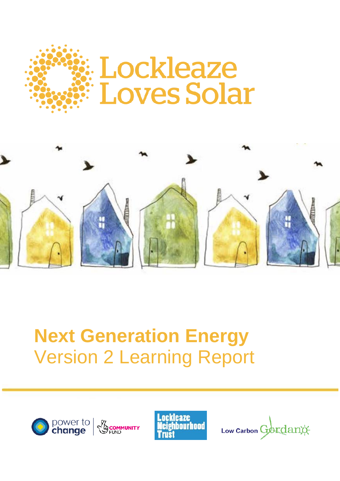



# **Next Generation Energy** Version 2 Learning Report





Low Carbon Gordano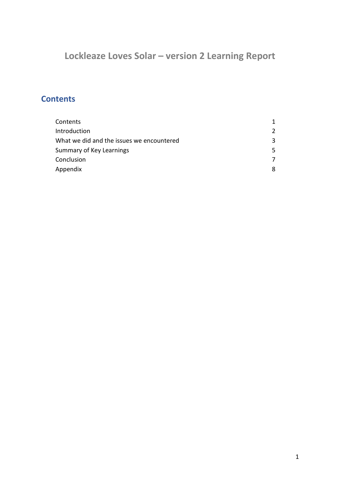# **Lockleaze Loves Solar – version 2 Learning Report**

# **Contents**

| $\mathcal{L}$ |
|---------------|
| 3.            |
| 5.            |
|               |
| 8             |
|               |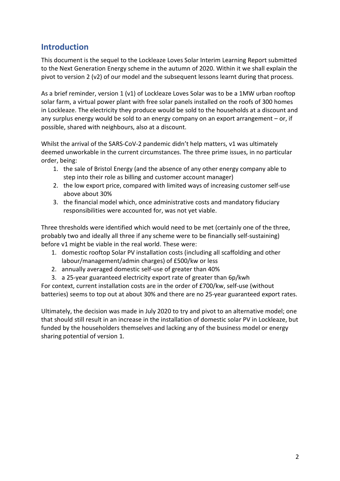## **Introduction**

This document is the sequel to the Lockleaze Loves Solar Interim Learning Report submitted to the Next Generation Energy scheme in the autumn of 2020. Within it we shall explain the pivot to version 2 (v2) of our model and the subsequent lessons learnt during that process.

As a brief reminder, version 1 (v1) of Lockleaze Loves Solar was to be a 1MW urban rooftop solar farm, a virtual power plant with free solar panels installed on the roofs of 300 homes in Lockleaze. The electricity they produce would be sold to the households at a discount and any surplus energy would be sold to an energy company on an export arrangement – or, if possible, shared with neighbours, also at a discount.

Whilst the arrival of the SARS-CoV-2 pandemic didn't help matters, v1 was ultimately deemed unworkable in the current circumstances. The three prime issues, in no particular order, being:

- 1. the sale of Bristol Energy (and the absence of any other energy company able to step into their role as billing and customer account manager)
- 2. the low export price, compared with limited ways of increasing customer self-use above about 30%
- 3. the financial model which, once administrative costs and mandatory fiduciary responsibilities were accounted for, was not yet viable.

Three thresholds were identified which would need to be met (certainly one of the three, probably two and ideally all three if any scheme were to be financially self-sustaining) before v1 might be viable in the real world. These were:

- 1. domestic rooftop Solar PV installation costs (including all scaffolding and other labour/management/admin charges) of £500/kw or less
- 2. annually averaged domestic self-use of greater than 40%
- 3. a 25-year guaranteed electricity export rate of greater than 6p/kwh

For context, current installation costs are in the order of £700/kw, self-use (without batteries) seems to top out at about 30% and there are no 25-year guaranteed export rates.

Ultimately, the decision was made in July 2020 to try and pivot to an alternative model; one that should still result in an increase in the installation of domestic solar PV in Lockleaze, but funded by the householders themselves and lacking any of the business model or energy sharing potential of version 1.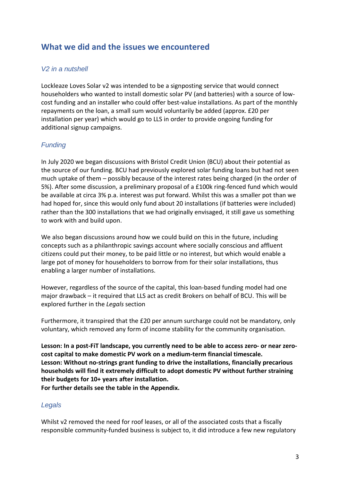### **What we did and the issues we encountered**

#### *V2 in a nutshell*

Lockleaze Loves Solar v2 was intended to be a signposting service that would connect householders who wanted to install domestic solar PV (and batteries) with a source of lowcost funding and an installer who could offer best-value installations. As part of the monthly repayments on the loan, a small sum would voluntarily be added (approx. £20 per installation per year) which would go to LLS in order to provide ongoing funding for additional signup campaigns.

#### *Funding*

In July 2020 we began discussions with Bristol Credit Union (BCU) about their potential as the source of our funding. BCU had previously explored solar funding loans but had not seen much uptake of them – possibly because of the interest rates being charged (in the order of 5%). After some discussion, a preliminary proposal of a £100k ring-fenced fund which would be available at circa 3% p.a. interest was put forward. Whilst this was a smaller pot than we had hoped for, since this would only fund about 20 installations (if batteries were included) rather than the 300 installations that we had originally envisaged, it still gave us something to work with and build upon.

We also began discussions around how we could build on this in the future, including concepts such as a philanthropic savings account where socially conscious and affluent citizens could put their money, to be paid little or no interest, but which would enable a large pot of money for householders to borrow from for their solar installations, thus enabling a larger number of installations.

However, regardless of the source of the capital, this loan-based funding model had one major drawback – it required that LLS act as credit Brokers on behalf of BCU. This will be explored further in the *Legals* section

Furthermore, it transpired that the £20 per annum surcharge could not be mandatory, only voluntary, which removed any form of income stability for the community organisation.

**Lesson: In a post-FiT landscape, you currently need to be able to access zero- or near zerocost capital to make domestic PV work on a medium-term financial timescale. Lesson: Without no-strings grant funding to drive the installations, financially precarious households will find it extremely difficult to adopt domestic PV without further straining their budgets for 10+ years after installation.**

**For further details see the table in the Appendix.**

#### *Legals*

Whilst v2 removed the need for roof leases, or all of the associated costs that a fiscally responsible community-funded business is subject to, it did introduce a few new regulatory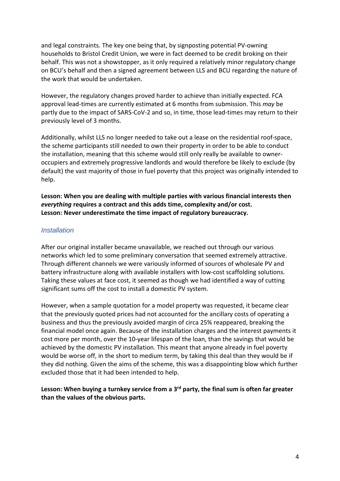and legal constraints. The key one being that, by signposting potential PV-owning households to Bristol Credit Union, we were in fact deemed to be credit broking on their behalf. This was not a showstopper, as it only required a relatively minor regulatory change on BCU's behalf and then a signed agreement between LLS and BCU regarding the nature of the work that would be undertaken.

However, the regulatory changes proved harder to achieve than initially expected. FCA approval lead-times are currently estimated at 6 months from submission. This *may* be partly due to the impact of SARS-CoV-2 and so, in time, those lead-times may return to their previously level of 3 months.

Additionally, whilst LLS no longer needed to take out a lease on the residential roof-space, the scheme participants still needed to own their property in order to be able to conduct the installation, meaning that this scheme would still only really be available to owneroccupiers and extremely progressive landlords and would therefore be likely to exclude (by default) the vast majority of those in fuel poverty that this project was originally intended to help.

**Lesson: When you are dealing with multiple parties with various financial interests then** *everything* **requires a contract and this adds time, complexity and/or cost. Lesson: Never underestimate the time impact of regulatory bureaucracy.**

#### *Installation*

After our original installer became unavailable, we reached out through our various networks which led to some preliminary conversation that seemed extremely attractive. Through different channels we were variously informed of sources of wholesale PV and battery infrastructure along with available installers with low-cost scaffolding solutions. Taking these values at face cost, it seemed as though we had identified a way of cutting significant sums off the cost to install a domestic PV system.

However, when a sample quotation for a model property was requested, it became clear that the previously quoted prices had not accounted for the ancillary costs of operating a business and thus the previously avoided margin of circa 25% reappeared, breaking the financial model once again. Because of the installation charges and the interest payments it cost more per month, over the 10-year lifespan of the loan, than the savings that would be achieved by the domestic PV installation. This meant that anyone already in fuel poverty would be worse off, in the short to medium term, by taking this deal than they would be if they did nothing. Given the aims of the scheme, this was a disappointing blow which further excluded those that it had been intended to help.

#### **Lesson: When buying a turnkey service from a 3 rd party, the final sum is often far greater than the values of the obvious parts.**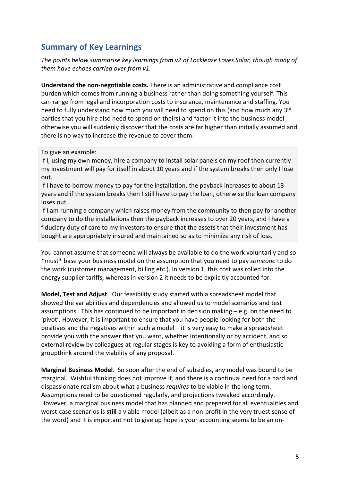## **Summary of Key Learnings**

*The points below summarise key learnings from v2 of Lockleaze Loves Solar, though many of them have echoes carried over from v1.*

**Understand the non-negotiable costs.** There is an administrative and compliance cost burden which comes from running a business rather than doing something yourself. This can range from legal and incorporation costs to insurance, maintenance and staffing. You need to fully understand how much you will need to spend on this (and how much any 3<sup>rd</sup> parties that you hire also need to spend on theirs) and factor it into the business model otherwise you will suddenly discover that the costs are far higher than initially assumed and there is no way to increase the revenue to cover them.

To give an example:

If I, using my own money, hire a company to install solar panels on my roof then currently my investment will pay for itself in about 10 years and if the system breaks then only I lose out.

If I have to borrow money to pay for the installation, the payback increases to about 13 years and if the system breaks then I still have to pay the loan, otherwise the loan company loses out.

If I am running a company which raises money from the community to then pay for another company to do the installations then the payback increases to over 20 years, and I have a fiduciary duty of care to my investors to ensure that the assets that their investment has bought are appropriately insured and maintained so as to minimize any risk of loss.

You cannot assume that someone will always be available to do the work voluntarily and so \*must\* base your business model on the assumption that you need to pay *someone* to do the work (customer management, billing etc.). In version 1, this cost was rolled into the energy supplier tariffs, whereas in version 2 it needs to be explicitly accounted for.

**Model, Test and Adjust**. Our feasibility study started with a spreadsheet model that showed the variabilities and dependencies and allowed us to model scenarios and test assumptions. This has continued to be important in decision making  $-e.g.$  on the need to 'pivot'. However, it is important to ensure that you have people looking for both the positives and the negatives within such a model – it is very easy to make a spreadsheet provide you with the answer that you want, whether intentionally or by accident, and so external review by colleagues at regular stages is key to avoiding a form of enthusiastic groupthink around the viability of any proposal.

**Marginal Business Model**. So soon after the end of subsidies, any model was bound to be marginal. Wishful thinking does not improve it, and there is a continual need for a hard and dispassionate realism about what a business *requires* to be viable in the long term. Assumptions need to be questioned regularly, and projections tweaked accordingly. However, a marginal business model that has planned and prepared for all eventualities and worst-case scenarios is **still** a viable model (albeit as a non-profit in the very truest sense of the word) and it is important not to give up hope is your accounting seems to be an on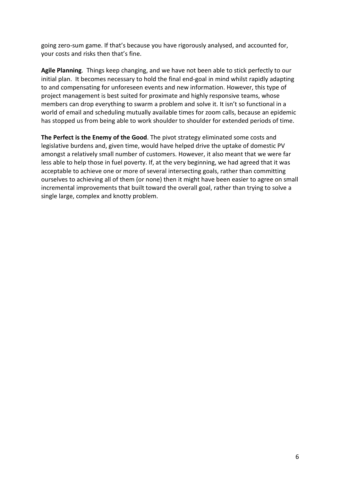going zero-sum game. If that's because you have rigorously analysed, and accounted for, your costs and risks then that's fine.

**Agile Planning**. Things keep changing, and we have not been able to stick perfectly to our initial plan. It becomes necessary to hold the final end-goal in mind whilst rapidly adapting to and compensating for unforeseen events and new information. However, this type of project management is best suited for proximate and highly responsive teams, whose members can drop everything to swarm a problem and solve it. It isn't so functional in a world of email and scheduling mutually available times for zoom calls, because an epidemic has stopped us from being able to work shoulder to shoulder for extended periods of time.

**The Perfect is the Enemy of the Good**. The pivot strategy eliminated some costs and legislative burdens and, given time, would have helped drive the uptake of domestic PV amongst a relatively small number of customers. However, it also meant that we were far less able to help those in fuel poverty. If, at the very beginning, we had agreed that it was acceptable to achieve one or more of several intersecting goals, rather than committing ourselves to achieving all of them (or none) then it might have been easier to agree on small incremental improvements that built toward the overall goal, rather than trying to solve a single large, complex and knotty problem.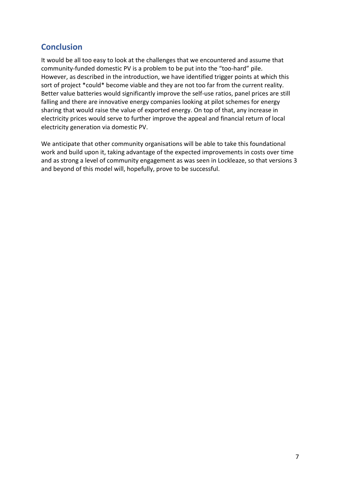## **Conclusion**

It would be all too easy to look at the challenges that we encountered and assume that community-funded domestic PV is a problem to be put into the "too-hard" pile. However, as described in the introduction, we have identified trigger points at which this sort of project \*could\* become viable and they are not too far from the current reality. Better value batteries would significantly improve the self-use ratios, panel prices are still falling and there are innovative energy companies looking at pilot schemes for energy sharing that would raise the value of exported energy. On top of that, any increase in electricity prices would serve to further improve the appeal and financial return of local electricity generation via domestic PV.

We anticipate that other community organisations will be able to take this foundational work and build upon it, taking advantage of the expected improvements in costs over time and as strong a level of community engagement as was seen in Lockleaze, so that versions 3 and beyond of this model will, hopefully, prove to be successful.